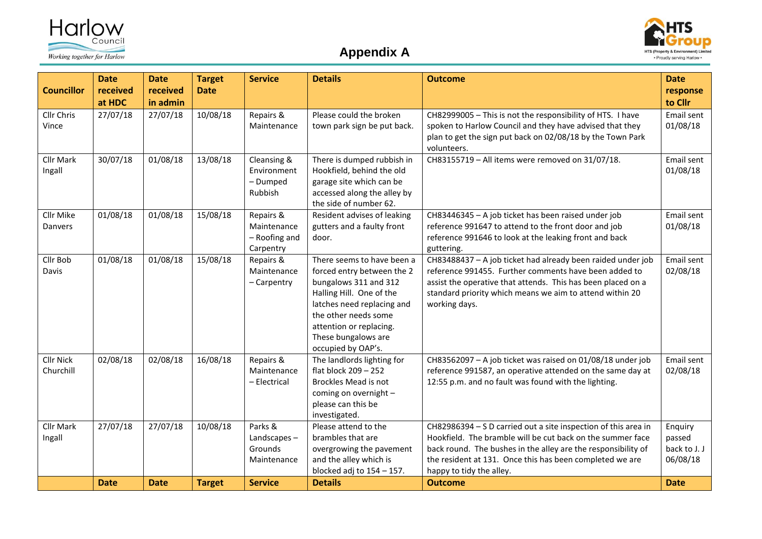





| <b>Councillor</b>             | <b>Date</b><br>received<br>at HDC | <b>Date</b><br>received<br>in admin | <b>Target</b><br><b>Date</b> | <b>Service</b>                                         | <b>Details</b>                                                                                                                                                                                                                              | <b>Outcome</b>                                                                                                                                                                                                                                                                        | <b>Date</b><br>response<br>to Cllr            |
|-------------------------------|-----------------------------------|-------------------------------------|------------------------------|--------------------------------------------------------|---------------------------------------------------------------------------------------------------------------------------------------------------------------------------------------------------------------------------------------------|---------------------------------------------------------------------------------------------------------------------------------------------------------------------------------------------------------------------------------------------------------------------------------------|-----------------------------------------------|
| Cllr Chris<br>Vince           | 27/07/18                          | 27/07/18                            | 10/08/18                     | Repairs &<br>Maintenance                               | Please could the broken<br>town park sign be put back.                                                                                                                                                                                      | CH82999005 - This is not the responsibility of HTS. I have<br>spoken to Harlow Council and they have advised that they<br>plan to get the sign put back on 02/08/18 by the Town Park<br>volunteers.                                                                                   | Email sent<br>01/08/18                        |
| <b>Cllr Mark</b><br>Ingall    | 30/07/18                          | 01/08/18                            | 13/08/18                     | Cleansing &<br>Environment<br>- Dumped<br>Rubbish      | There is dumped rubbish in<br>Hookfield, behind the old<br>garage site which can be<br>accessed along the alley by<br>the side of number 62.                                                                                                | CH83155719 - All items were removed on 31/07/18.                                                                                                                                                                                                                                      | Email sent<br>01/08/18                        |
| Cllr Mike<br>Danvers          | 01/08/18                          | 01/08/18                            | 15/08/18                     | Repairs &<br>Maintenance<br>- Roofing and<br>Carpentry | Resident advises of leaking<br>gutters and a faulty front<br>door.                                                                                                                                                                          | CH83446345 - A job ticket has been raised under job<br>reference 991647 to attend to the front door and job<br>reference 991646 to look at the leaking front and back<br>guttering.                                                                                                   | Email sent<br>01/08/18                        |
| Cllr Bob<br>Davis             | 01/08/18                          | 01/08/18                            | 15/08/18                     | Repairs &<br>Maintenance<br>- Carpentry                | There seems to have been a<br>forced entry between the 2<br>bungalows 311 and 312<br>Halling Hill. One of the<br>latches need replacing and<br>the other needs some<br>attention or replacing.<br>These bungalows are<br>occupied by OAP's. | CH83488437 - A job ticket had already been raided under job<br>reference 991455. Further comments have been added to<br>assist the operative that attends. This has been placed on a<br>standard priority which means we aim to attend within 20<br>working days.                     | Email sent<br>02/08/18                        |
| <b>Cllr Nick</b><br>Churchill | 02/08/18                          | 02/08/18                            | 16/08/18                     | Repairs &<br>Maintenance<br>- Electrical               | The landlords lighting for<br>flat block 209 - 252<br><b>Brockles Mead is not</b><br>coming on overnight -<br>please can this be<br>investigated.                                                                                           | CH83562097 - A job ticket was raised on 01/08/18 under job<br>reference 991587, an operative attended on the same day at<br>12:55 p.m. and no fault was found with the lighting.                                                                                                      | Email sent<br>02/08/18                        |
| <b>Cllr Mark</b><br>Ingall    | 27/07/18                          | 27/07/18                            | 10/08/18                     | Parks &<br>Landscapes-<br>Grounds<br>Maintenance       | Please attend to the<br>brambles that are<br>overgrowing the pavement<br>and the alley which is<br>blocked adj to $154 - 157$ .                                                                                                             | CH82986394 - S D carried out a site inspection of this area in<br>Hookfield. The bramble will be cut back on the summer face<br>back round. The bushes in the alley are the responsibility of<br>the resident at 131. Once this has been completed we are<br>happy to tidy the alley. | Enquiry<br>passed<br>back to J. J<br>06/08/18 |
|                               | <b>Date</b>                       | <b>Date</b>                         | <b>Target</b>                | <b>Service</b>                                         | <b>Details</b>                                                                                                                                                                                                                              | <b>Outcome</b>                                                                                                                                                                                                                                                                        | <b>Date</b>                                   |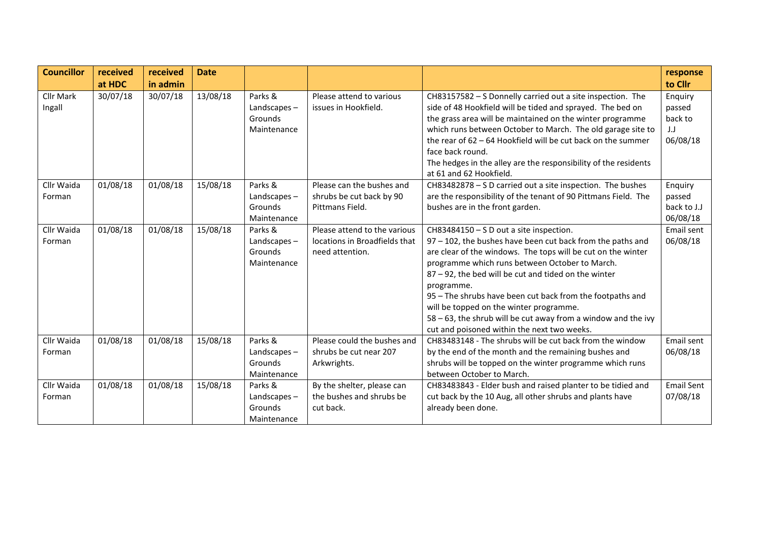| <b>Councillor</b>    | received<br>at HDC | received<br>in admin | <b>Date</b> |                                                  |                                                                                  |                                                                                                                                                                                                                                                                                                                                                                                                                                                                                                                          | response<br>to Cllr                             |
|----------------------|--------------------|----------------------|-------------|--------------------------------------------------|----------------------------------------------------------------------------------|--------------------------------------------------------------------------------------------------------------------------------------------------------------------------------------------------------------------------------------------------------------------------------------------------------------------------------------------------------------------------------------------------------------------------------------------------------------------------------------------------------------------------|-------------------------------------------------|
| Cllr Mark<br>Ingall  | 30/07/18           | 30/07/18             | 13/08/18    | Parks &<br>Landscapes-<br>Grounds<br>Maintenance | Please attend to various<br>issues in Hookfield.                                 | CH83157582 - S Donnelly carried out a site inspection. The<br>side of 48 Hookfield will be tided and sprayed. The bed on<br>the grass area will be maintained on the winter programme<br>which runs between October to March. The old garage site to<br>the rear of $62 - 64$ Hookfield will be cut back on the summer<br>face back round.<br>The hedges in the alley are the responsibility of the residents<br>at 61 and 62 Hookfield.                                                                                 | Enquiry<br>passed<br>back to<br>J.J<br>06/08/18 |
| Cllr Waida<br>Forman | 01/08/18           | 01/08/18             | 15/08/18    | Parks &<br>Landscapes-<br>Grounds<br>Maintenance | Please can the bushes and<br>shrubs be cut back by 90<br>Pittmans Field.         | CH83482878 - S D carried out a site inspection. The bushes<br>are the responsibility of the tenant of 90 Pittmans Field. The<br>bushes are in the front garden.                                                                                                                                                                                                                                                                                                                                                          | Enquiry<br>passed<br>back to J.J<br>06/08/18    |
| Cllr Waida<br>Forman | 01/08/18           | 01/08/18             | 15/08/18    | Parks &<br>Landscapes-<br>Grounds<br>Maintenance | Please attend to the various<br>locations in Broadfields that<br>need attention. | CH83484150 - S D out a site inspection.<br>97 - 102, the bushes have been cut back from the paths and<br>are clear of the windows. The tops will be cut on the winter<br>programme which runs between October to March.<br>87 - 92, the bed will be cut and tided on the winter<br>programme.<br>95 - The shrubs have been cut back from the footpaths and<br>will be topped on the winter programme.<br>$58 - 63$ , the shrub will be cut away from a window and the ivy<br>cut and poisoned within the next two weeks. | Email sent<br>06/08/18                          |
| Cllr Waida<br>Forman | 01/08/18           | 01/08/18             | 15/08/18    | Parks &<br>Landscapes-<br>Grounds<br>Maintenance | Please could the bushes and<br>shrubs be cut near 207<br>Arkwrights.             | CH83483148 - The shrubs will be cut back from the window<br>by the end of the month and the remaining bushes and<br>shrubs will be topped on the winter programme which runs<br>between October to March.                                                                                                                                                                                                                                                                                                                | Email sent<br>06/08/18                          |
| Cllr Waida<br>Forman | 01/08/18           | 01/08/18             | 15/08/18    | Parks &<br>Landscapes-<br>Grounds<br>Maintenance | By the shelter, please can<br>the bushes and shrubs be<br>cut back.              | CH83483843 - Elder bush and raised planter to be tidied and<br>cut back by the 10 Aug, all other shrubs and plants have<br>already been done.                                                                                                                                                                                                                                                                                                                                                                            | <b>Email Sent</b><br>07/08/18                   |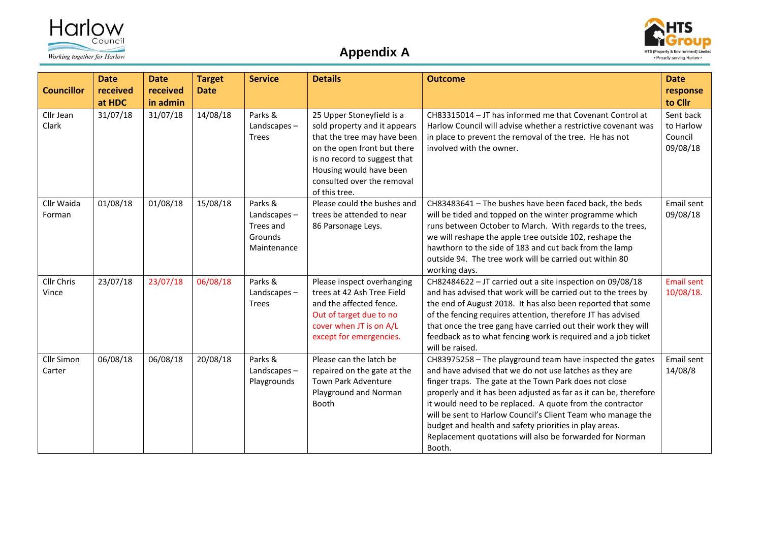





| <b>Councillor</b>           | <b>Date</b><br>received<br>at HDC | <b>Date</b><br>received<br>in admin | <b>Target</b><br><b>Date</b> | <b>Service</b>                                                   | <b>Details</b>                                                                                                                                                                                                                    | <b>Outcome</b>                                                                                                                                                                                                                                                                                                                                                                                                                                                                                                 | <b>Date</b><br>response<br>to Cllr            |
|-----------------------------|-----------------------------------|-------------------------------------|------------------------------|------------------------------------------------------------------|-----------------------------------------------------------------------------------------------------------------------------------------------------------------------------------------------------------------------------------|----------------------------------------------------------------------------------------------------------------------------------------------------------------------------------------------------------------------------------------------------------------------------------------------------------------------------------------------------------------------------------------------------------------------------------------------------------------------------------------------------------------|-----------------------------------------------|
| Cllr Jean<br>Clark          | 31/07/18                          | 31/07/18                            | 14/08/18                     | Parks &<br>Landscapes-<br><b>Trees</b>                           | 25 Upper Stoneyfield is a<br>sold property and it appears<br>that the tree may have been<br>on the open front but there<br>is no record to suggest that<br>Housing would have been<br>consulted over the removal<br>of this tree. | CH83315014 - JT has informed me that Covenant Control at<br>Harlow Council will advise whether a restrictive covenant was<br>in place to prevent the removal of the tree. He has not<br>involved with the owner.                                                                                                                                                                                                                                                                                               | Sent back<br>to Harlow<br>Council<br>09/08/18 |
| Cllr Waida<br>Forman        | 01/08/18                          | 01/08/18                            | 15/08/18                     | Parks &<br>Landscapes $-$<br>Trees and<br>Grounds<br>Maintenance | Please could the bushes and<br>trees be attended to near<br>86 Parsonage Leys.                                                                                                                                                    | CH83483641 - The bushes have been faced back, the beds<br>will be tided and topped on the winter programme which<br>runs between October to March. With regards to the trees,<br>we will reshape the apple tree outside 102, reshape the<br>hawthorn to the side of 183 and cut back from the lamp<br>outside 94. The tree work will be carried out within 80<br>working days.                                                                                                                                 | Email sent<br>09/08/18                        |
| Cllr Chris<br>Vince         | 23/07/18                          | 23/07/18                            | 06/08/18                     | Parks &<br>Landscapes-<br><b>Trees</b>                           | Please inspect overhanging<br>trees at 42 Ash Tree Field<br>and the affected fence.<br>Out of target due to no<br>cover when JT is on A/L<br>except for emergencies.                                                              | CH82484622 - JT carried out a site inspection on 09/08/18<br>and has advised that work will be carried out to the trees by<br>the end of August 2018. It has also been reported that some<br>of the fencing requires attention, therefore JT has advised<br>that once the tree gang have carried out their work they will<br>feedback as to what fencing work is required and a job ticket<br>will be raised.                                                                                                  | <b>Email sent</b><br>10/08/18.                |
| <b>Cllr Simon</b><br>Carter | 06/08/18                          | 06/08/18                            | 20/08/18                     | Parks &<br>Landscapes-<br>Playgrounds                            | Please can the latch be<br>repaired on the gate at the<br>Town Park Adventure<br>Playground and Norman<br><b>Booth</b>                                                                                                            | CH83975258 - The playground team have inspected the gates<br>and have advised that we do not use latches as they are<br>finger traps. The gate at the Town Park does not close<br>properly and it has been adjusted as far as it can be, therefore<br>it would need to be replaced. A quote from the contractor<br>will be sent to Harlow Council's Client Team who manage the<br>budget and health and safety priorities in play areas.<br>Replacement quotations will also be forwarded for Norman<br>Booth. | Email sent<br>14/08/8                         |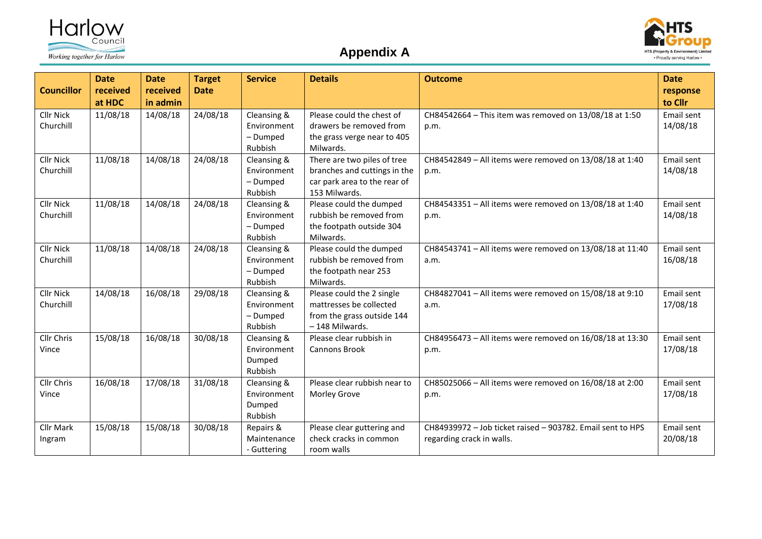





| <b>Councillor</b>             | <b>Date</b><br>received<br>at HDC | <b>Date</b><br>received<br>in admin | <b>Target</b><br><b>Date</b> | <b>Service</b>                                    | <b>Details</b>                                                                                               | <b>Outcome</b>                                                                          | <b>Date</b><br>response<br>to Cllr |
|-------------------------------|-----------------------------------|-------------------------------------|------------------------------|---------------------------------------------------|--------------------------------------------------------------------------------------------------------------|-----------------------------------------------------------------------------------------|------------------------------------|
| <b>Cllr Nick</b><br>Churchill | 11/08/18                          | 14/08/18                            | 24/08/18                     | Cleansing &<br>Environment<br>- Dumped<br>Rubbish | Please could the chest of<br>drawers be removed from<br>the grass verge near to 405<br>Milwards.             | CH84542664 - This item was removed on 13/08/18 at 1:50<br>p.m.                          | Email sent<br>14/08/18             |
| <b>Cllr Nick</b><br>Churchill | 11/08/18                          | 14/08/18                            | 24/08/18                     | Cleansing &<br>Environment<br>- Dumped<br>Rubbish | There are two piles of tree<br>branches and cuttings in the<br>car park area to the rear of<br>153 Milwards. | CH84542849 - All items were removed on 13/08/18 at 1:40<br>p.m.                         | Email sent<br>14/08/18             |
| <b>Cllr Nick</b><br>Churchill | 11/08/18                          | 14/08/18                            | 24/08/18                     | Cleansing &<br>Environment<br>- Dumped<br>Rubbish | Please could the dumped<br>rubbish be removed from<br>the footpath outside 304<br>Milwards.                  | CH84543351 - All items were removed on 13/08/18 at 1:40<br>p.m.                         | Email sent<br>14/08/18             |
| <b>Cllr Nick</b><br>Churchill | 11/08/18                          | 14/08/18                            | 24/08/18                     | Cleansing &<br>Environment<br>- Dumped<br>Rubbish | Please could the dumped<br>rubbish be removed from<br>the footpath near 253<br>Milwards.                     | CH84543741 - All items were removed on 13/08/18 at 11:40<br>a.m.                        | Email sent<br>16/08/18             |
| <b>Cllr Nick</b><br>Churchill | 14/08/18                          | 16/08/18                            | 29/08/18                     | Cleansing &<br>Environment<br>- Dumped<br>Rubbish | Please could the 2 single<br>mattresses be collected<br>from the grass outside 144<br>-148 Milwards.         | CH84827041 - All items were removed on 15/08/18 at 9:10<br>a.m.                         | Email sent<br>17/08/18             |
| Cllr Chris<br>Vince           | 15/08/18                          | 16/08/18                            | 30/08/18                     | Cleansing &<br>Environment<br>Dumped<br>Rubbish   | Please clear rubbish in<br><b>Cannons Brook</b>                                                              | CH84956473 - All items were removed on 16/08/18 at 13:30<br>p.m.                        | Email sent<br>17/08/18             |
| Cllr Chris<br>Vince           | 16/08/18                          | 17/08/18                            | 31/08/18                     | Cleansing &<br>Environment<br>Dumped<br>Rubbish   | Please clear rubbish near to<br>Morley Grove                                                                 | CH85025066 - All items were removed on 16/08/18 at 2:00<br>p.m.                         | Email sent<br>17/08/18             |
| <b>Cllr Mark</b><br>Ingram    | 15/08/18                          | 15/08/18                            | 30/08/18                     | Repairs &<br>Maintenance<br>- Guttering           | Please clear guttering and<br>check cracks in common<br>room walls                                           | CH84939972 - Job ticket raised - 903782. Email sent to HPS<br>regarding crack in walls. | Email sent<br>20/08/18             |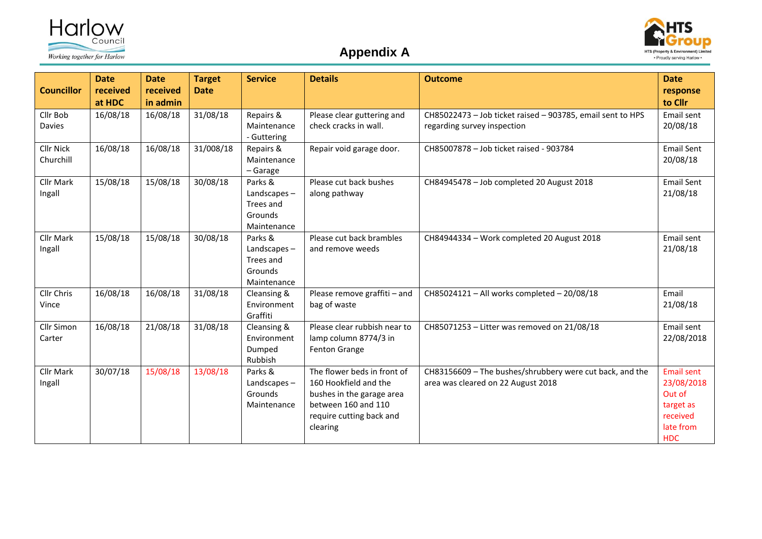



## **Appendix A**

| <b>Councillor</b>             | <b>Date</b><br>received<br>at HDC | <b>Date</b><br>received<br>in admin | <b>Target</b><br><b>Date</b> | <b>Service</b>                                                | <b>Details</b>                                                                                                                                   | <b>Outcome</b>                                                                                 | <b>Date</b><br>response<br>to Cllr                                                            |
|-------------------------------|-----------------------------------|-------------------------------------|------------------------------|---------------------------------------------------------------|--------------------------------------------------------------------------------------------------------------------------------------------------|------------------------------------------------------------------------------------------------|-----------------------------------------------------------------------------------------------|
| Cllr Bob<br><b>Davies</b>     | 16/08/18                          | 16/08/18                            | 31/08/18                     | Repairs &<br>Maintenance<br>- Guttering                       | Please clear guttering and<br>check cracks in wall.                                                                                              | CH85022473 - Job ticket raised - 903785, email sent to HPS<br>regarding survey inspection      | Email sent<br>20/08/18                                                                        |
| <b>Cllr Nick</b><br>Churchill | 16/08/18                          | 16/08/18                            | 31/008/18                    | Repairs &<br>Maintenance<br>- Garage                          | Repair void garage door.                                                                                                                         | CH85007878 - Job ticket raised - 903784                                                        | <b>Email Sent</b><br>20/08/18                                                                 |
| Cllr Mark<br>Ingall           | 15/08/18                          | 15/08/18                            | 30/08/18                     | Parks &<br>Landscapes-<br>Trees and<br>Grounds<br>Maintenance | Please cut back bushes<br>along pathway                                                                                                          | CH84945478 - Job completed 20 August 2018                                                      | <b>Email Sent</b><br>21/08/18                                                                 |
| <b>Cllr Mark</b><br>Ingall    | 15/08/18                          | 15/08/18                            | 30/08/18                     | Parks &<br>Landscapes-<br>Trees and<br>Grounds<br>Maintenance | Please cut back brambles<br>and remove weeds                                                                                                     | CH84944334 - Work completed 20 August 2018                                                     | Email sent<br>21/08/18                                                                        |
| Cllr Chris<br>Vince           | 16/08/18                          | 16/08/18                            | 31/08/18                     | Cleansing &<br>Environment<br>Graffiti                        | Please remove graffiti - and<br>bag of waste                                                                                                     | CH85024121 - All works completed - 20/08/18                                                    | Email<br>21/08/18                                                                             |
| Cllr Simon<br>Carter          | 16/08/18                          | 21/08/18                            | 31/08/18                     | Cleansing &<br>Environment<br>Dumped<br>Rubbish               | Please clear rubbish near to<br>lamp column 8774/3 in<br>Fenton Grange                                                                           | CH85071253 - Litter was removed on 21/08/18                                                    | Email sent<br>22/08/2018                                                                      |
| <b>Cllr Mark</b><br>Ingall    | 30/07/18                          | 15/08/18                            | 13/08/18                     | Parks &<br>Landscapes-<br>Grounds<br>Maintenance              | The flower beds in front of<br>160 Hookfield and the<br>bushes in the garage area<br>between 160 and 110<br>require cutting back and<br>clearing | CH83156609 - The bushes/shrubbery were cut back, and the<br>area was cleared on 22 August 2018 | <b>Email sent</b><br>23/08/2018<br>Out of<br>target as<br>received<br>late from<br><b>HDC</b> |